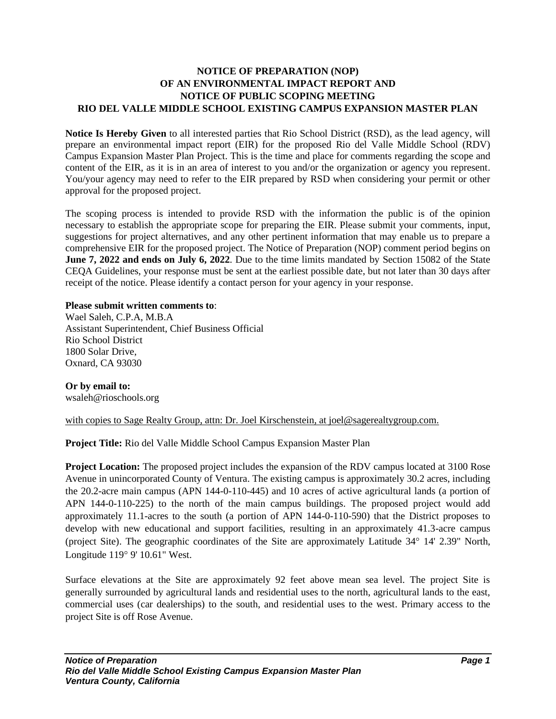## **NOTICE OF PREPARATION (NOP) OF AN ENVIRONMENTAL IMPACT REPORT AND NOTICE OF PUBLIC SCOPING MEETING RIO DEL VALLE MIDDLE SCHOOL EXISTING CAMPUS EXPANSION MASTER PLAN**

**Notice Is Hereby Given** to all interested parties that Rio School District (RSD), as the lead agency, will prepare an environmental impact report (EIR) for the proposed Rio del Valle Middle School (RDV) Campus Expansion Master Plan Project. This is the time and place for comments regarding the scope and content of the EIR, as it is in an area of interest to you and/or the organization or agency you represent. You/your agency may need to refer to the EIR prepared by RSD when considering your permit or other approval for the proposed project.

The scoping process is intended to provide RSD with the information the public is of the opinion necessary to establish the appropriate scope for preparing the EIR. Please submit your comments, input, suggestions for project alternatives, and any other pertinent information that may enable us to prepare a comprehensive EIR for the proposed project. The Notice of Preparation (NOP) comment period begins on **June 7, 2022 and ends on July 6, 2022**. Due to the time limits mandated by Section 15082 of the State CEQA Guidelines, your response must be sent at the earliest possible date, but not later than 30 days after receipt of the notice. Please identify a contact person for your agency in your response.

## **Please submit written comments to**:

Wael Saleh, C.P.A, M.B.A Assistant Superintendent, Chief Business Official Rio School District 1800 Solar Drive, Oxnard, CA 93030

**Or by email to:** wsaleh@rioschools.org

with copies to Sage Realty Group, attn: Dr. Joel Kirschenstein, at joel@sagerealtygroup.com.

**Project Title:** Rio del Valle Middle School Campus Expansion Master Plan

**Project Location:** The proposed project includes the expansion of the RDV campus located at 3100 Rose Avenue in unincorporated County of Ventura. The existing campus is approximately 30.2 acres, including the 20.2-acre main campus (APN 144-0-110-445) and 10 acres of active agricultural lands (a portion of APN 144-0-110-225) to the north of the main campus buildings. The proposed project would add approximately 11.1-acres to the south (a portion of APN 144-0-110-590) that the District proposes to develop with new educational and support facilities, resulting in an approximately 41.3-acre campus (project Site). The geographic coordinates of the Site are approximately Latitude 34° 14' 2.39" North, Longitude  $119°9'$  10.61" West.

Surface elevations at the Site are approximately 92 feet above mean sea level. The project Site is generally surrounded by agricultural lands and residential uses to the north, agricultural lands to the east, commercial uses (car dealerships) to the south, and residential uses to the west. Primary access to the project Site is off Rose Avenue.